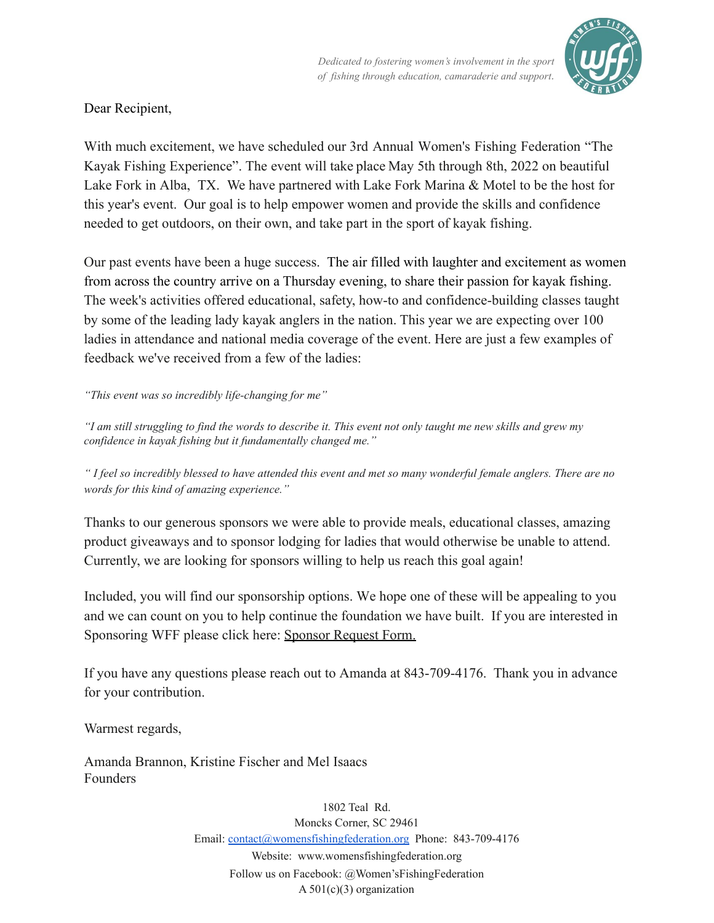*Dedicated to fostering women¶s involvement in the sport of fishing through education, camaraderie and support.*



Dear Recipient,

With much excitement, we have scheduled our 3rd Annual Women's Fishing Federation "The Kayak Fishing Experience". The event will take place May 5th through 8th, 2022 on beautiful Lake Fork in Alba, TX. We have partnered with Lake Fork Marina & Motel to be the host for this year's event. Our goal is to help empower women and provide the skills and confidence needed to get outdoors, on their own, and take part in the sport of kayak fishing.

Our past events have been a huge success. The air filled with laughter and excitement as women from across the country arrive on a Thursday evening, to share their passion for kayak fishing. The week's activities offered educational, safety, how-to and confidence-building classes taught by some of the leading lady kayak anglers in the nation. This year we are expecting over 100 ladies in attendance and national media coverage of the event. Here are just a few examples of feedback we've received from a few of the ladies:

*³This event was so incredibly life-changing for me´*

*³I am still struggling to find the words to describe it. This event not only taught me new skills and grew my confidence in kayak fishing but it fundamentally changed me."*

*³ I feel so incredibly blessed to have attended this event and met so many wonderful female anglers. There are no words for this kind of amazing experience.*"

Thanks to our generous sponsors we were able to provide meals, educational classes, amazing product giveaways and to sponsor lodging for ladies that would otherwise be unable to attend. Currently, we are looking for sponsors willing to help us reach this goal again!

Included, you will find our sponsorship options. We hope one of these will be appealing to you and we can count on you to help continue the foundation we have built. If you are interested in Sponsoring WFF please click here: [Sponsor Request Form.](https://forms.gle/jpvZqd8dP93gGP7g6)

If you have any questions please reach out to Amanda at 843-709-4176. Thank you in advance for your contribution.

Warmest regards,

Amanda Brannon, Kristine Fischer and Mel Isaacs Founders

> 1802 Teal Rd. Moncks Corner, SC 29461 Email: contact@womensfishingfederation.org Phone: 843-709-4176 Website: www.womensfishingfederation.org Follow us on Facebook:  $@$ Women'sFishingFederation A  $501(c)(3)$  organization